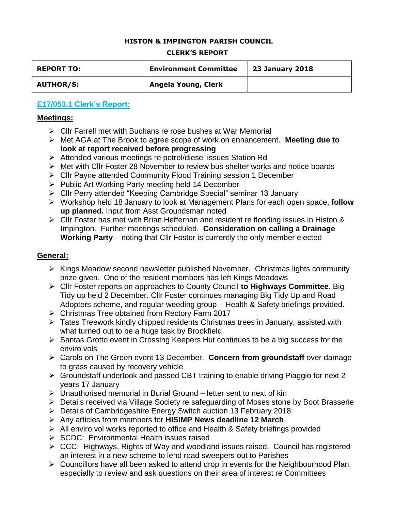#### **HISTON & IMPINGTON PARISH COUNCIL**

#### **CLERK'S REPORT**

| <b>REPORT TO:</b> | <b>Environment Committee</b> | <b>23 January 2018</b> |
|-------------------|------------------------------|------------------------|
| <b>AUTHOR/S:</b>  | Angela Young, Clerk          |                        |

# **E17/053.1 Clerk's Report:**

#### **Meetings:**

- $\triangleright$  Cllr Farrell met with Buchans re rose bushes at War Memorial
- Met AGA at The Brook to agree scope of work on enhancement. **Meeting due to look at report received before progressing**
- Attended various meetings re petrol/diesel issues Station Rd
- Met with Cllr Foster 28 November to review bus shelter works and notice boards
- Cllr Payne attended Community Flood Training session 1 December
- $\triangleright$  Public Art Working Party meeting held 14 December
- Cllr Perry attended "Keeping Cambridge Special" seminar 13 January
- Workshop held 18 January to look at Management Plans for each open space, **follow up planned.** Input from Asst Groundsman noted
- Cllr Foster has met with Brian Heffernan and resident re flooding issues in Histon & Impington. Further meetings scheduled. **Consideration on calling a Drainage Working Party** – noting that Cllr Foster is currently the only member elected

#### **General:**

- $\triangleright$  Kings Meadow second newsletter published November. Christmas lights community prize given. One of the resident members has left Kings Meadows
- Cllr Foster reports on approaches to County Council **to Highways Committee**. Big Tidy up held 2 December. Cllr Foster continues managing Big Tidy Up and Road Adopters scheme, and regular weeding group – Health & Safety briefings provided.
- Christmas Tree obtained from Rectory Farm 2017
- Tates Treework kindly chipped residents Christmas trees in January, assisted with what turned out to be a huge task by Brookfield
- $\triangleright$  Santas Grotto event in Crossing Keepers Hut continues to be a big success for the enviro.vols
- Carols on The Green event 13 December. **Concern from groundstaff** over damage to grass caused by recovery vehicle
- Groundstaff undertook and passed CBT training to enable driving Piaggio for next 2 years 17 January
- $\triangleright$  Unauthorised memorial in Burial Ground letter sent to next of kin
- Details received via Village Society re safeguarding of Moses stone by Boot Brasserie
- Details of Cambridgeshire Energy Switch auction 13 February 2018
- Any articles from members for **HISIMP News deadline 12 March**
- All enviro.vol works reported to office and Health & Safety briefings provided
- $\triangleright$  SCDC: Environmental Health issues raised
- $\triangleright$  CCC: Highways, Rights of Way and woodland issues raised. Council has registered an interest in a new scheme to lend road sweepers out to Parishes
- $\triangleright$  Councillors have all been asked to attend drop in events for the Neighbourhood Plan, especially to review and ask questions on their area of interest re Committees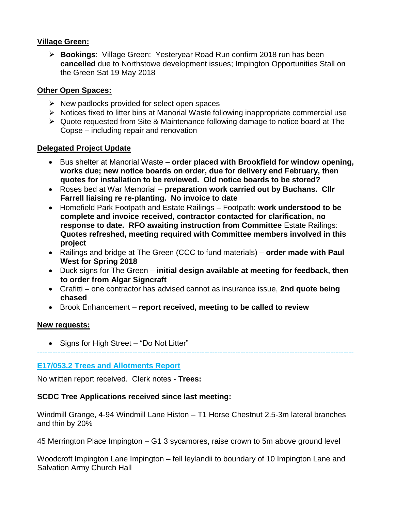## **Village Green:**

 **Bookings**: Village Green: Yesteryear Road Run confirm 2018 run has been **cancelled** due to Northstowe development issues; Impington Opportunities Stall on the Green Sat 19 May 2018

## **Other Open Spaces:**

- $\triangleright$  New padlocks provided for select open spaces
- $\triangleright$  Notices fixed to litter bins at Manorial Waste following inappropriate commercial use
- Quote requested from Site & Maintenance following damage to notice board at The Copse – including repair and renovation

## **Delegated Project Update**

- Bus shelter at Manorial Waste **order placed with Brookfield for window opening, works due; new notice boards on order, due for delivery end February, then quotes for installation to be reviewed. Old notice boards to be stored?**
- Roses bed at War Memorial **preparation work carried out by Buchans. Cllr Farrell liaising re re-planting. No invoice to date**
- Homefield Park Footpath and Estate Railings Footpath: **work understood to be complete and invoice received, contractor contacted for clarification, no response to date. RFO awaiting instruction from Committee** Estate Railings: **Quotes refreshed, meeting required with Committee members involved in this project**
- Railings and bridge at The Green (CCC to fund materials) **order made with Paul West for Spring 2018**
- Duck signs for The Green **initial design available at meeting for feedback, then to order from Algar Signcraft**
- Grafitti one contractor has advised cannot as insurance issue, **2nd quote being chased**

---------------------------------------------------------------------------------------------------------------------------

Brook Enhancement – **report received, meeting to be called to review**

#### **New requests:**

• Signs for High Street – "Do Not Litter"

## **E17/053.2 Trees and Allotments Report**

No written report received. Clerk notes - **Trees:**

## **SCDC Tree Applications received since last meeting:**

Windmill Grange, 4-94 Windmill Lane Histon – T1 Horse Chestnut 2.5-3m lateral branches and thin by 20%

45 Merrington Place Impington – G1 3 sycamores, raise crown to 5m above ground level

Woodcroft Impington Lane Impington – fell leylandii to boundary of 10 Impington Lane and Salvation Army Church Hall